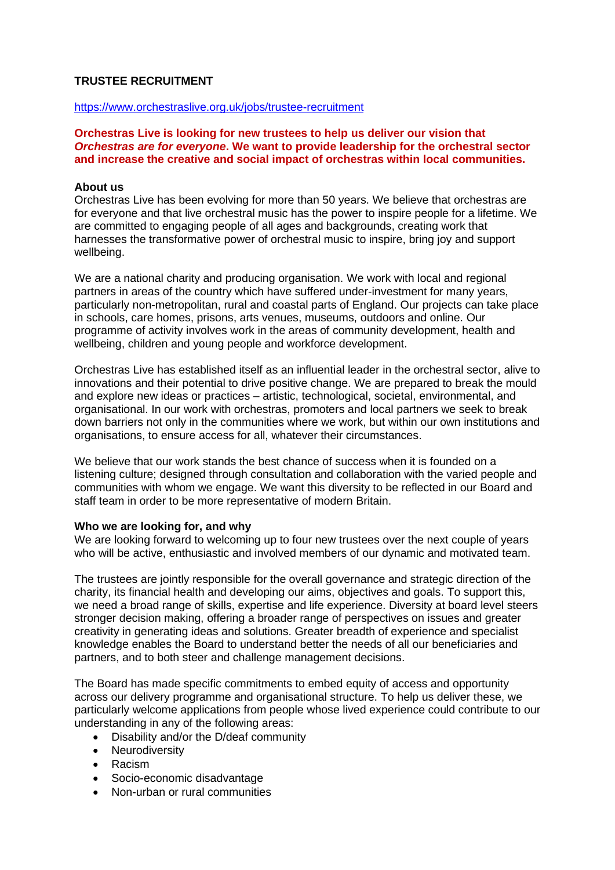#### **TRUSTEE RECRUITMENT**

#### <https://www.orchestraslive.org.uk/jobs/trustee-recruitment>

**Orchestras Live is looking for new trustees to help us deliver our vision that**  *Orchestras are for everyone***. We want to provide leadership for the orchestral sector and increase the creative and social impact of orchestras within local communities.**

#### **About us**

Orchestras Live has been evolving for more than 50 years. We believe that orchestras are for everyone and that live orchestral music has the power to inspire people for a lifetime. We are committed to engaging people of all ages and backgrounds, creating work that harnesses the transformative power of orchestral music to inspire, bring joy and support wellbeing.

We are a national charity and producing organisation. We work with local and regional partners in areas of the country which have suffered under-investment for many years, particularly non-metropolitan, rural and coastal parts of England. Our projects can take place in schools, care homes, prisons, arts venues, museums, outdoors and online. Our programme of activity involves work in the areas of community development, health and wellbeing, children and young people and workforce development.

Orchestras Live has established itself as an influential leader in the orchestral sector, alive to innovations and their potential to drive positive change. We are prepared to break the mould and explore new ideas or practices – artistic, technological, societal, environmental, and organisational. In our work with orchestras, promoters and local partners we seek to break down barriers not only in the communities where we work, but within our own institutions and organisations, to ensure access for all, whatever their circumstances.

We believe that our work stands the best chance of success when it is founded on a listening culture; designed through consultation and collaboration with the varied people and communities with whom we engage. We want this diversity to be reflected in our Board and staff team in order to be more representative of modern Britain.

#### **Who we are looking for, and why**

We are looking forward to welcoming up to four new trustees over the next couple of years who will be active, enthusiastic and involved members of our dynamic and motivated team.

The trustees are jointly responsible for the overall governance and strategic direction of the charity, its financial health and developing our aims, objectives and goals. To support this, we need a broad range of skills, expertise and life experience. Diversity at board level steers stronger decision making, offering a broader range of perspectives on issues and greater creativity in generating ideas and solutions. Greater breadth of experience and specialist knowledge enables the Board to understand better the needs of all our beneficiaries and partners, and to both steer and challenge management decisions.

The Board has made specific commitments to embed equity of access and opportunity across our delivery programme and organisational structure. To help us deliver these, we particularly welcome applications from people whose lived experience could contribute to our understanding in any of the following areas:

- Disability and/or the D/deaf community
- Neurodiversity
- Racism
- Socio-economic disadvantage
- Non-urban or rural communities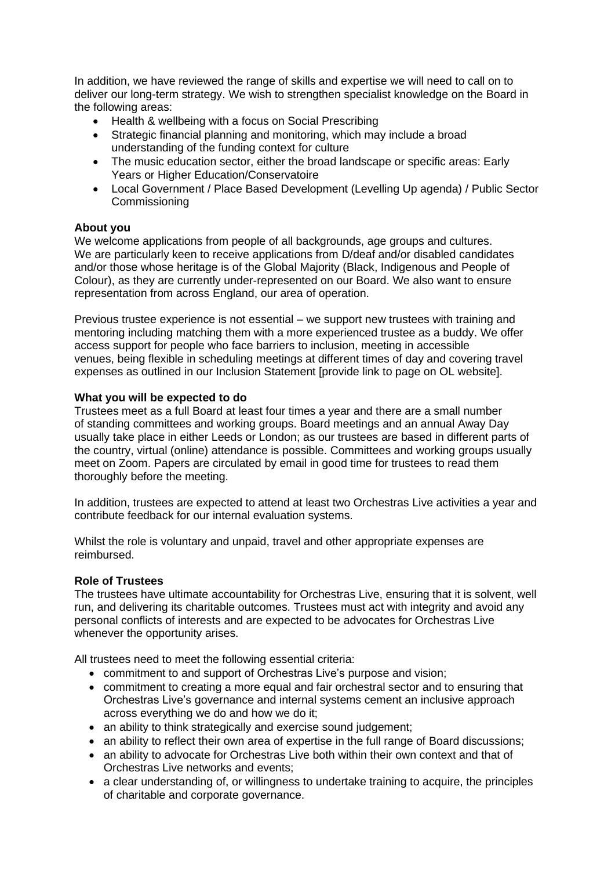In addition, we have reviewed the range of skills and expertise we will need to call on to deliver our long-term strategy. We wish to strengthen specialist knowledge on the Board in the following areas:

- Health & wellbeing with a focus on Social Prescribing
- Strategic financial planning and monitoring, which may include a broad understanding of the funding context for culture
- The music education sector, either the broad landscape or specific areas: Early Years or Higher Education/Conservatoire
- Local Government / Place Based Development (Levelling Up agenda) / Public Sector Commissioning

# **About you**

We welcome applications from people of all backgrounds, age groups and cultures. We are particularly keen to receive applications from D/deaf and/or disabled candidates and/or those whose heritage is of the Global Majority (Black, Indigenous and People of Colour), as they are currently under-represented on our Board. We also want to ensure representation from across England, our area of operation.

Previous trustee experience is not essential – we support new trustees with training and mentoring including matching them with a more experienced trustee as a buddy. We offer access support for people who face barriers to inclusion, meeting in accessible venues, being flexible in scheduling meetings at different times of day and covering travel expenses as outlined in our Inclusion Statement [provide link to page on OL website].

## **What you will be expected to do**

Trustees meet as a full Board at least four times a year and there are a small number of standing committees and working groups. Board meetings and an annual Away Day usually take place in either Leeds or London; as our trustees are based in different parts of the country, virtual (online) attendance is possible. Committees and working groups usually meet on Zoom. Papers are circulated by email in good time for trustees to read them thoroughly before the meeting.

In addition, trustees are expected to attend at least two Orchestras Live activities a year and contribute feedback for our internal evaluation systems.

Whilst the role is voluntary and unpaid, travel and other appropriate expenses are reimbursed.

## **Role of Trustees**

The trustees have ultimate accountability for Orchestras Live, ensuring that it is solvent, well run, and delivering its charitable outcomes. Trustees must act with integrity and avoid any personal conflicts of interests and are expected to be advocates for Orchestras Live whenever the opportunity arises.

All trustees need to meet the following essential criteria:

- commitment to and support of Orchestras Live's purpose and vision;
- commitment to creating a more equal and fair orchestral sector and to ensuring that Orchestras Live's governance and internal systems cement an inclusive approach across everything we do and how we do it;
- an ability to think strategically and exercise sound judgement;
- an ability to reflect their own area of expertise in the full range of Board discussions:
- an ability to advocate for Orchestras Live both within their own context and that of Orchestras Live networks and events;
- a clear understanding of, or willingness to undertake training to acquire, the principles of charitable and corporate governance.